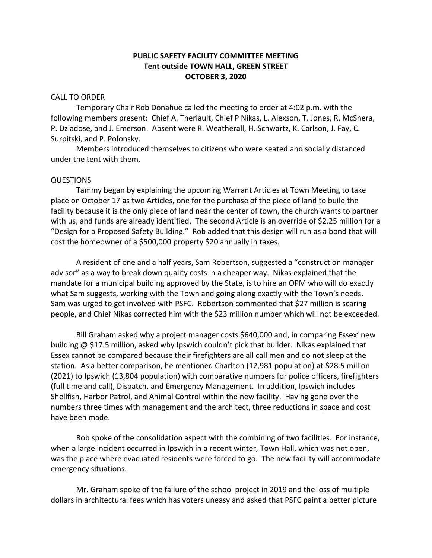## **PUBLIC SAFETY FACILITY COMMITTEE MEETING Tent outside TOWN HALL, GREEN STREET OCTOBER 3, 2020**

## CALL TO ORDER

Temporary Chair Rob Donahue called the meeting to order at 4:02 p.m. with the following members present: Chief A. Theriault, Chief P Nikas, L. Alexson, T. Jones, R. McShera, P. Dziadose, and J. Emerson. Absent were R. Weatherall, H. Schwartz, K. Carlson, J. Fay, C. Surpitski, and P. Polonsky.

Members introduced themselves to citizens who were seated and socially distanced under the tent with them.

## QUESTIONS

Tammy began by explaining the upcoming Warrant Articles at Town Meeting to take place on October 17 as two Articles, one for the purchase of the piece of land to build the facility because it is the only piece of land near the center of town, the church wants to partner with us, and funds are already identified. The second Article is an override of \$2.25 million for a "Design for a Proposed Safety Building." Rob added that this design will run as a bond that will cost the homeowner of a \$500,000 property \$20 annually in taxes.

A resident of one and a half years, Sam Robertson, suggested a "construction manager advisor" as a way to break down quality costs in a cheaper way. Nikas explained that the mandate for a municipal building approved by the State, is to hire an OPM who will do exactly what Sam suggests, working with the Town and going along exactly with the Town's needs. Sam was urged to get involved with PSFC. Robertson commented that \$27 million is scaring people, and Chief Nikas corrected him with the \$23 million number which will not be exceeded.

Bill Graham asked why a project manager costs \$640,000 and, in comparing Essex' new building @ \$17.5 million, asked why Ipswich couldn't pick that builder. Nikas explained that Essex cannot be compared because their firefighters are all call men and do not sleep at the station. As a better comparison, he mentioned Charlton (12,981 population) at \$28.5 million (2021) to Ipswich (13,804 population) with comparative numbers for police officers, firefighters (full time and call), Dispatch, and Emergency Management. In addition, Ipswich includes Shellfish, Harbor Patrol, and Animal Control within the new facility. Having gone over the numbers three times with management and the architect, three reductions in space and cost have been made.

Rob spoke of the consolidation aspect with the combining of two facilities. For instance, when a large incident occurred in Ipswich in a recent winter, Town Hall, which was not open, was the place where evacuated residents were forced to go. The new facility will accommodate emergency situations.

Mr. Graham spoke of the failure of the school project in 2019 and the loss of multiple dollars in architectural fees which has voters uneasy and asked that PSFC paint a better picture